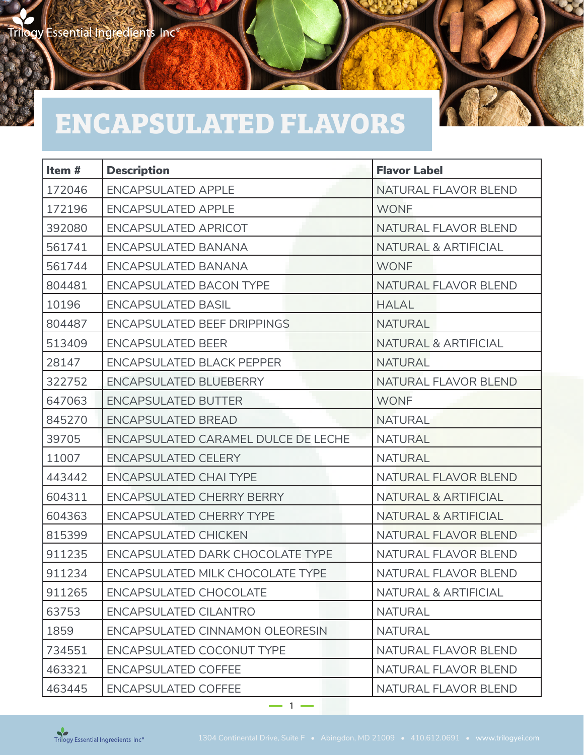## **ENCAPSULATED FLAVORS**

| Item $#$ | <b>Description</b>                      | <b>Flavor Label</b>             |
|----------|-----------------------------------------|---------------------------------|
| 172046   | <b>ENCAPSULATED APPLE</b>               | NATURAL FLAVOR BLEND            |
| 172196   | <b>ENCAPSULATED APPLE</b>               | <b>WONF</b>                     |
| 392080   | <b>ENCAPSULATED APRICOT</b>             | NATURAL FLAVOR BLEND            |
| 561741   | ENCAPSULATED BANANA                     | <b>NATURAL &amp; ARTIFICIAL</b> |
| 561744   | <b>ENCAPSULATED BANANA</b>              | <b>WONF</b>                     |
| 804481   | <b>ENCAPSULATED BACON TYPE</b>          | <b>NATURAL FLAVOR BLEND</b>     |
| 10196    | <b>ENCAPSULATED BASIL</b>               | <b>HALAL</b>                    |
| 804487   | <b>ENCAPSULATED BEEF DRIPPINGS</b>      | <b>NATURAL</b>                  |
| 513409   | <b>ENCAPSULATED BEER</b>                | <b>NATURAL &amp; ARTIFICIAL</b> |
| 28147    | <b>ENCAPSULATED BLACK PEPPER</b>        | <b>NATURAL</b>                  |
| 322752   | <b>ENCAPSULATED BLUEBERRY</b>           | NATURAL FLAVOR BLEND            |
| 647063   | <b>ENCAPSULATED BUTTER</b>              | <b>WONF</b>                     |
| 845270   | <b>ENCAPSULATED BREAD</b>               | <b>NATURAL</b>                  |
| 39705    | ENCAPSULATED CARAMEL DULCE DE LECHE     | <b>NATURAL</b>                  |
| 11007    | <b>ENCAPSULATED CELERY</b>              | <b>NATURAL</b>                  |
| 443442   | <b>ENCAPSULATED CHAI TYPE</b>           | NATURAL FLAVOR BLEND            |
| 604311   | <b>ENCAPSULATED CHERRY BERRY</b>        | NATURAL & ARTIFICIAL            |
| 604363   | <b>ENCAPSULATED CHERRY TYPE</b>         | NATURAL & ARTIFICIAL            |
| 815399   | <b>ENCAPSULATED CHICKEN</b>             | NATURAL FLAVOR BLEND            |
| 911235   | <b>ENCAPSULATED DARK CHOCOLATE TYPE</b> | NATURAL FLAVOR BLEND            |
| 911234   | ENCAPSULATED MILK CHOCOLATE TYPE        | NATURAL FLAVOR BLEND            |
| 911265   | <b>ENCAPSULATED CHOCOLATE</b>           | <b>NATURAL &amp; ARTIFICIAL</b> |
| 63753    | <b>ENCAPSULATED CILANTRO</b>            | <b>NATURAL</b>                  |
| 1859     | ENCAPSULATED CINNAMON OLEORESIN         | <b>NATURAL</b>                  |
| 734551   | ENCAPSULATED COCONUT TYPE               | NATURAL FLAVOR BLEND            |
| 463321   | <b>ENCAPSULATED COFFEE</b>              | NATURAL FLAVOR BLEND            |
| 463445   | <b>ENCAPSULATED COFFEE</b>              | NATURAL FLAVOR BLEND            |

 $1 -$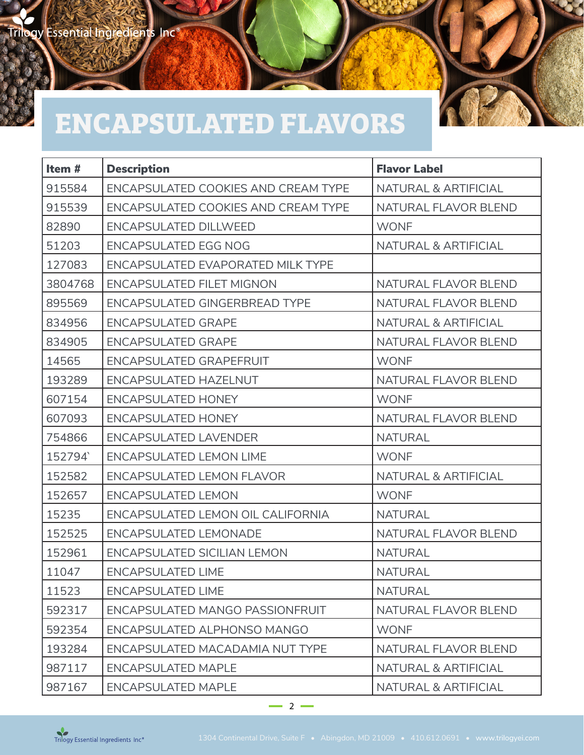## **ENCAPSULATED FLAVORS**

| Item $#$ | <b>Description</b>                         | <b>Flavor Label</b>  |
|----------|--------------------------------------------|----------------------|
| 915584   | <b>ENCAPSULATED COOKIES AND CREAM TYPE</b> | NATURAL & ARTIFICIAL |
| 915539   | ENCAPSULATED COOKIES AND CREAM TYPE        | NATURAL FLAVOR BLEND |
| 82890    | <b>ENCAPSULATED DILLWEED</b>               | <b>WONF</b>          |
| 51203    | <b>ENCAPSULATED EGG NOG</b>                | NATURAL & ARTIFICIAL |
| 127083   | ENCAPSULATED EVAPORATED MILK TYPE          |                      |
| 3804768  | <b>ENCAPSULATED FILET MIGNON</b>           | NATURAL FLAVOR BLEND |
| 895569   | <b>ENCAPSULATED GINGERBREAD TYPE</b>       | NATURAL FLAVOR BLEND |
| 834956   | <b>ENCAPSULATED GRAPE</b>                  | NATURAL & ARTIFICIAL |
| 834905   | <b>ENCAPSULATED GRAPE</b>                  | NATURAL FLAVOR BLEND |
| 14565    | <b>ENCAPSULATED GRAPEFRUIT</b>             | <b>WONF</b>          |
| 193289   | <b>ENCAPSULATED HAZELNUT</b>               | NATURAL FLAVOR BLEND |
| 607154   | <b>ENCAPSULATED HONEY</b>                  | <b>WONF</b>          |
| 607093   | <b>ENCAPSULATED HONEY</b>                  | NATURAL FLAVOR BLEND |
| 754866   | <b>ENCAPSULATED LAVENDER</b>               | <b>NATURAL</b>       |
| 152794   | <b>ENCAPSULATED LEMON LIME</b>             | <b>WONF</b>          |
| 152582   | <b>ENCAPSULATED LEMON FLAVOR</b>           | NATURAL & ARTIFICIAL |
| 152657   | <b>ENCAPSULATED LEMON</b>                  | <b>WONF</b>          |
| 15235    | ENCAPSULATED LEMON OIL CALIFORNIA          | <b>NATURAL</b>       |
| 152525   | <b>ENCAPSULATED LEMONADE</b>               | NATURAL FLAVOR BLEND |
| 152961   | <b>ENCAPSULATED SICILIAN LEMON</b>         | <b>NATURAL</b>       |
| 11047    | <b>ENCAPSULATED LIME</b>                   | <b>NATURAL</b>       |
| 11523    | <b>ENCAPSULATED LIME</b>                   | <b>NATURAL</b>       |
| 592317   | ENCAPSULATED MANGO PASSIONFRUIT            | NATURAL FLAVOR BLEND |
| 592354   | ENCAPSULATED ALPHONSO MANGO                | <b>WONF</b>          |
| 193284   | ENCAPSULATED MACADAMIA NUT TYPE            | NATURAL FLAVOR BLEND |
| 987117   | <b>ENCAPSULATED MAPLE</b>                  | NATURAL & ARTIFICIAL |
| 987167   | <b>ENCAPSULATED MAPLE</b>                  | NATURAL & ARTIFICIAL |

 $-2$   $-$